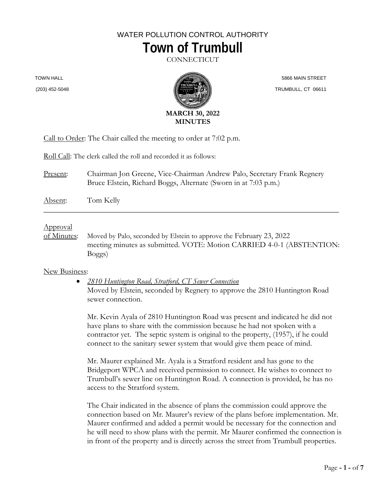## WATER POLLUTION CONTROL AUTHORITY **Town of Trumbull**

CONNECTICUT

TOWN HALL





 5866 MAIN STREET TRUMBULL, CT 06611

Call to Order: The Chair called the meeting to order at 7:02 p.m.

Roll Call: The clerk called the roll and recorded it as follows:

Present: Chairman Jon Greene, Vice-Chairman Andrew Palo, Secretary Frank Regnery Bruce Elstein, Richard Boggs, Alternate (Sworn in at 7:03 p.m.)

Absent: Tom Kelly

## Approval

of Minutes: Moved by Palo, seconded by Elstein to approve the February 23, 2022 meeting minutes as submitted. VOTE: Motion CARRIED 4-0-1 (ABSTENTION: Boggs)

\_\_\_\_\_\_\_\_\_\_\_\_\_\_\_\_\_\_\_\_\_\_\_\_\_\_\_\_\_\_\_\_\_\_\_\_\_\_\_\_\_\_\_\_\_\_\_\_\_\_\_\_\_\_\_\_\_\_\_\_\_\_\_\_\_\_\_\_\_\_\_\_\_\_\_

## New Business:

• *2810 Huntington Road, Stratford, CT Sewer Connection* Moved by Elstein, seconded by Regnery to approve the 2810 Huntington Road sewer connection.

Mr. Kevin Ayala of 2810 Huntington Road was present and indicated he did not have plans to share with the commission because he had not spoken with a contractor yet. The septic system is original to the property, (1957), if he could connect to the sanitary sewer system that would give them peace of mind.

Mr. Maurer explained Mr. Ayala is a Stratford resident and has gone to the Bridgeport WPCA and received permission to connect. He wishes to connect to Trumbull's sewer line on Huntington Road. A connection is provided, he has no access to the Stratford system.

The Chair indicated in the absence of plans the commission could approve the connection based on Mr. Maurer's review of the plans before implementation. Mr. Maurer confirmed and added a permit would be necessary for the connection and he will need to show plans with the permit. Mr Maurer confirmed the connection is in front of the property and is directly across the street from Trumbull properties.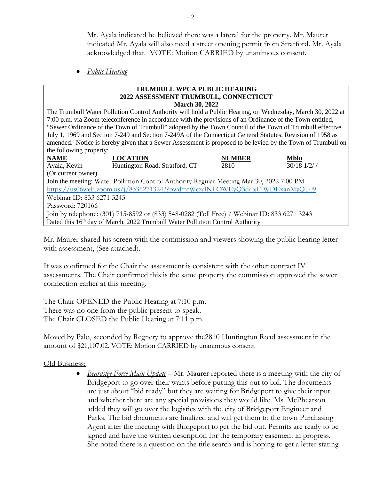Mr. Ayala indicated he believed there was a lateral for the property. Mr. Maurer indicated Mr. Ayala will also need a street opening permit from Stratford. Mr. Ayala acknowledged that. VOTE: Motion CARRIED by unanimous consent.

• *Public Hearing*

#### **TRUMBULL WPCA PUBLIC HEARING 2022 ASSESSMENT TRUMBULL, CONNECTICUT March 30, 2022**

The Trumbull Water Pollution Control Authority will hold a Public Hearing, on Wednesday, March 30, 2022 at 7:00 p.m. via Zoom teleconference in accordance with the provisions of an Ordinance of the Town entitled, "Sewer Ordinance of the Town of Trumbull" adopted by the Town Council of the Town of Trumbull effective July 1, 1969 and Section 7-249 and Section 7-249A of the Connecticut General Statutes, Revision of 1958 as amended. Notice is hereby given that a Sewer Assessment is proposed to be levied by the Town of Trumbull on the following property:

| <b>NAME</b>                                                                                 | <b>LOCATION</b>                | <b>NUMBER</b> | <b>Mblu</b>     |  |  |  |  |  |
|---------------------------------------------------------------------------------------------|--------------------------------|---------------|-----------------|--|--|--|--|--|
| Ayala, Kevin                                                                                | Huntington Road, Stratford, CT | 2810          | $30/18$ $1/2$ / |  |  |  |  |  |
| (Or current owner)                                                                          |                                |               |                 |  |  |  |  |  |
| Join the meeting: Water Pollution Control Authority Regular Meeting Mar 30, 2022 7:00 PM    |                                |               |                 |  |  |  |  |  |
| https://us06web.zoom.us/j/83362713243?pwd=cWczalNLOWEyQ3drbjFIWDExanMyQT09                  |                                |               |                 |  |  |  |  |  |
| Webinar ID: 833 6271 3243                                                                   |                                |               |                 |  |  |  |  |  |
| Password: 720166                                                                            |                                |               |                 |  |  |  |  |  |
| Join by telephone: (301) 715-8592 or (833) 548-0282 (Toll Free) / Webinar ID: 833 6271 3243 |                                |               |                 |  |  |  |  |  |
| Dated this 16 <sup>th</sup> day of March, 2022 Trumbull Water Pollution Control Authority   |                                |               |                 |  |  |  |  |  |

Mr. Maurer shared his screen with the commission and viewers showing the public hearing letter with assessment, (See attached).

It was confirmed for the Chair the assessment is consistent with the other contract IV assessments. The Chair confirmed this is the same property the commission approved the sewer connection earlier at this meeting.

The Chair OPENED the Public Hearing at 7:10 p.m. There was no one from the public present to speak. The Chair CLOSED the Public Hearing at 7:11 p.m.

Moved by Palo, seconded by Regnery to approve the2810 Huntington Road assessment in the amount of \$21,107.02. VOTE: Motion CARRIED by unanimous consent.

## Old Business:

• *Beardsley Force Main Update* – Mr. Maurer reported there is a meeting with the city of Bridgeport to go over their wants before putting this out to bid. The documents are just about "bid ready" but they are waiting for Bridgeport to give their input and whether there are any special provisions they would like. Ms. McPhearson added they will go over the logistics with the city of Bridgeport Engineer and Parks. The bid documents are finalized and will get them to the town Purchasing Agent after the meeting with Bridgeport to get the bid out. Permits are ready to be signed and have the written description for the temporary easement in progress. She noted there is a question on the title search and is hoping to get a letter stating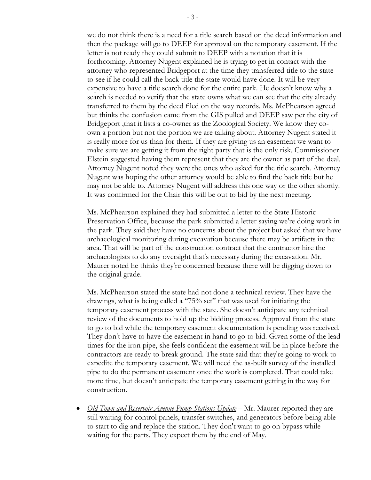we do not think there is a need for a title search based on the deed information and then the package will go to DEEP for approval on the temporary easement. If the letter is not ready they could submit to DEEP with a notation that it is forthcoming. Attorney Nugent explained he is trying to get in contact with the attorney who represented Bridgeport at the time they transferred title to the state to see if he could call the back title the state would have done. It will be very expensive to have a title search done for the entire park. He doesn't know why a search is needed to verify that the state owns what we can see that the city already transferred to them by the deed filed on the way records. Ms. McPhearson agreed but thinks the confusion came from the GIS pulled and DEEP saw per the city of Bridgeport ,that it lists a co-owner as the Zoological Society. We know they coown a portion but not the portion we are talking about. Attorney Nugent stated it is really more for us than for them. If they are giving us an easement we want to make sure we are getting it from the right party that is the only risk. Commissioner Elstein suggested having them represent that they are the owner as part of the deal. Attorney Nugent noted they were the ones who asked for the title search. Attorney Nugent was hoping the other attorney would be able to find the back title but he may not be able to. Attorney Nugent will address this one way or the other shortly. It was confirmed for the Chair this will be out to bid by the next meeting.

Ms. McPhearson explained they had submitted a letter to the State Historic Preservation Office, because the park submitted a letter saying we're doing work in the park. They said they have no concerns about the project but asked that we have archaeological monitoring during excavation because there may be artifacts in the area. That will be part of the construction contract that the contractor hire the archaeologists to do any oversight that's necessary during the excavation. Mr. Maurer noted he thinks they're concerned because there will be digging down to the original grade.

Ms. McPhearson stated the state had not done a technical review. They have the drawings, what is being called a "75% set" that was used for initiating the temporary easement process with the state. She doesn't anticipate any technical review of the documents to hold up the bidding process. Approval from the state to go to bid while the temporary easement documentation is pending was received. They don't have to have the easement in hand to go to bid. Given some of the lead times for the iron pipe, she feels confident the easement will be in place before the contractors are ready to break ground. The state said that they're going to work to expedite the temporary easement. We will need the as-built survey of the installed pipe to do the permanent easement once the work is completed. That could take more time, but doesn't anticipate the temporary easement getting in the way for construction.

• *Old Town and Reservoir Avenue Pump Stations Update* – Mr. Maurer reported they are still waiting for control panels, transfer switches, and generators before being able to start to dig and replace the station. They don't want to go on bypass while waiting for the parts. They expect them by the end of May.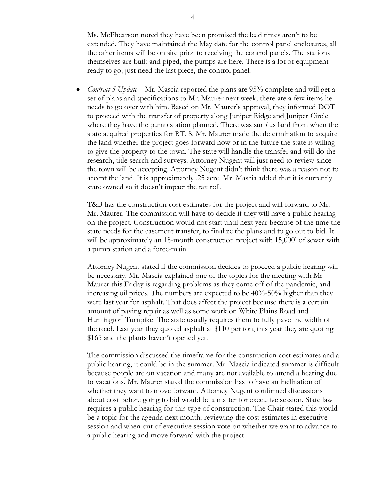Ms. McPhearson noted they have been promised the lead times aren't to be extended. They have maintained the May date for the control panel enclosures, all the other items will be on site prior to receiving the control panels. The stations themselves are built and piped, the pumps are here. There is a lot of equipment ready to go, just need the last piece, the control panel.

• *Contract 5 Update* – Mr. Mascia reported the plans are 95% complete and will get a set of plans and specifications to Mr. Maurer next week, there are a few items he needs to go over with him. Based on Mr. Maurer's approval, they informed DOT to proceed with the transfer of property along Juniper Ridge and Juniper Circle where they have the pump station planned. There was surplus land from when the state acquired properties for RT. 8. Mr. Maurer made the determination to acquire the land whether the project goes forward now or in the future the state is willing to give the property to the town. The state will handle the transfer and will do the research, title search and surveys. Attorney Nugent will just need to review since the town will be accepting. Attorney Nugent didn't think there was a reason not to accept the land. It is approximately .25 acre. Mr. Mascia added that it is currently state owned so it doesn't impact the tax roll.

T&B has the construction cost estimates for the project and will forward to Mr. Mr. Maurer. The commission will have to decide if they will have a public hearing on the project. Construction would not start until next year because of the time the state needs for the easement transfer, to finalize the plans and to go out to bid. It will be approximately an 18-month construction project with 15,000' of sewer with a pump station and a force-main.

Attorney Nugent stated if the commission decides to proceed a public hearing will be necessary. Mr. Mascia explained one of the topics for the meeting with Mr Maurer this Friday is regarding problems as they come off of the pandemic, and increasing oil prices. The numbers are expected to be 40%-50% higher than they were last year for asphalt. That does affect the project because there is a certain amount of paving repair as well as some work on White Plains Road and Huntington Turnpike. The state usually requires them to fully pave the width of the road. Last year they quoted asphalt at \$110 per ton, this year they are quoting \$165 and the plants haven't opened yet.

The commission discussed the timeframe for the construction cost estimates and a public hearing, it could be in the summer. Mr. Mascia indicated summer is difficult because people are on vacation and many are not available to attend a hearing due to vacations. Mr. Maurer stated the commission has to have an inclination of whether they want to move forward. Attorney Nugent confirmed discussions about cost before going to bid would be a matter for executive session. State law requires a public hearing for this type of construction. The Chair stated this would be a topic for the agenda next month: reviewing the cost estimates in executive session and when out of executive session vote on whether we want to advance to a public hearing and move forward with the project.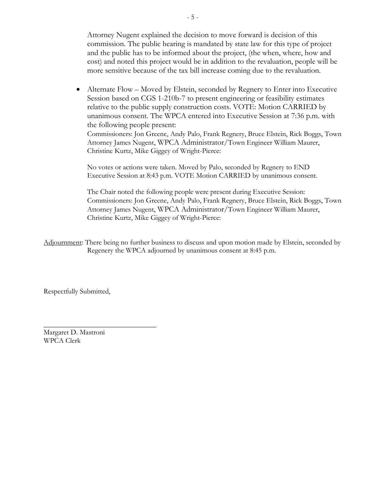Attorney Nugent explained the decision to move forward is decision of this commission. The public hearing is mandated by state law for this type of project and the public has to be informed about the project, (the when, where, how and cost) and noted this project would be in addition to the revaluation, people will be more sensitive because of the tax bill increase coming due to the revaluation.

• Alternate Flow – Moved by Elstein, seconded by Regnery to Enter into Executive Session based on CGS 1-210b-7 to present engineering or feasibility estimates relative to the public supply construction costs. VOTE: Motion CARRIED by unanimous consent. The WPCA entered into Executive Session at 7:36 p.m. with the following people present:

Commissioners: Jon Greene, Andy Palo, Frank Regnery, Bruce Elstein, Rick Boggs, Town Attorney James Nugent, WPCA Administrator/Town Engineer William Maurer, Christine Kurtz, Mike Giggey of Wright-Pierce:

No votes or actions were taken. Moved by Palo, seconded by Regnery to END Executive Session at 8:43 p.m. VOTE Motion CARRIED by unanimous consent.

The Chair noted the following people were present during Executive Session: Commissioners: Jon Greene, Andy Palo, Frank Regnery, Bruce Elstein, Rick Boggs, Town Attorney James Nugent, WPCA Administrator/Town Engineer William Maurer, Christine Kurtz, Mike Giggey of Wright-Pierce:

Adjournment: There being no further business to discuss and upon motion made by Elstein, seconded by Regenery the WPCA adjourned by unanimous consent at 8:45 p.m.

Respectfully Submitted,

 $\overline{\phantom{a}}$  , where  $\overline{\phantom{a}}$  , where  $\overline{\phantom{a}}$  , where  $\overline{\phantom{a}}$ Margaret D. Mastroni WPCA Clerk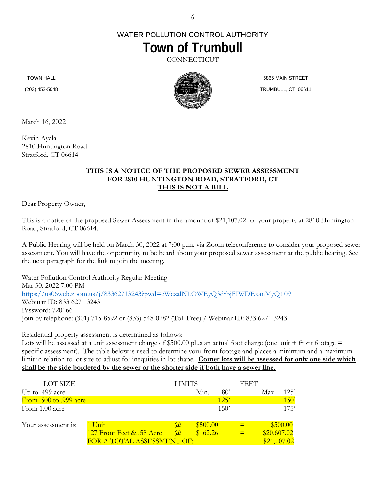# WATER POLLUTION CONTROL AUTHORITY **Town of Trumbull**

**CONNECTICUT** 

TOWN HALL

(203) 452-5048



5866 MAIN STREET TRUMBULL, CT 06611

March 16, 2022

Kevin Ayala 2810 Huntington Road Stratford, CT 06614

### **THIS IS A NOTICE OF THE PROPOSED SEWER ASSESSMENT FOR 2810 HUNTINGTON ROAD, STRATFORD, CT THIS IS NOT A BILL**

Dear Property Owner,

This is a notice of the proposed Sewer Assessment in the amount of \$21,107.02 for your property at 2810 Huntington Road, Stratford, CT 06614.

A Public Hearing will be held on March 30, 2022 at 7:00 p.m. via Zoom teleconference to consider your proposed sewer assessment. You will have the opportunity to be heard about your proposed sewer assessment at the public hearing. See the next paragraph for the link to join the meeting.

Water Pollution Control Authority Regular Meeting Mar 30, 2022 7:00 PM <https://us06web.zoom.us/j/83362713243?pwd=cWczalNLOWEyQ3drbjFIWDExanMyQT09> Webinar ID: 833 6271 3243 Password: 720166 Join by telephone: (301) 715-8592 or (833) 548-0282 (Toll Free) / Webinar ID: 833 6271 3243

Residential property assessment is determined as follows:

Lots will be assessed at a unit assessment charge of \$500.00 plus an actual foot charge (one unit + front footage = specific assessment). The table below is used to determine your front footage and places a minimum and a maximum limit in relation to lot size to adjust for inequities in lot shape. **Corner lots will be assessed for only one side which shall be the side bordered by the sewer or the shorter side if both have a sewer line.**

| LOT SIZE                      |                            | <b>LIMITS</b> |          |              | FEET |             |          |
|-------------------------------|----------------------------|---------------|----------|--------------|------|-------------|----------|
| Up to .499 acre               |                            |               | Min.     | $80^{\circ}$ |      | Max         | 12.5'    |
| <b>From .500 to .999 acre</b> |                            |               |          | 125'         |      |             | 150'     |
| From 1.00 acre                |                            |               |          | 150'         |      |             | 175'     |
| Your assessment is:           | $1$ Unit                   | (a)           | \$500.00 |              |      |             | \$500.00 |
|                               | 127 Front Feet & .58 Acre  | $\omega$      | \$162.26 |              |      | \$20,607.02 |          |
|                               | FOR A TOTAL ASSESSMENT OF: |               |          |              |      | \$21,107.02 |          |